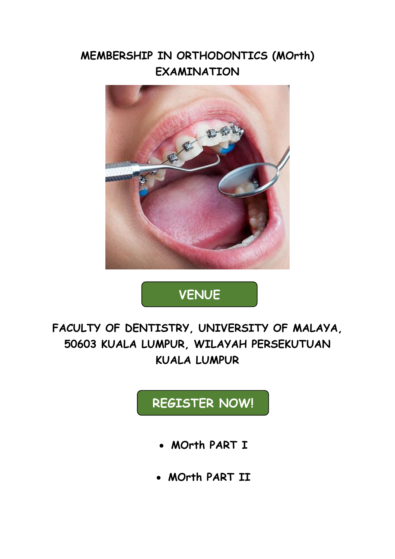### **MEMBERSHIP IN ORTHODONTICS (MOrth) EXAMINATION**



# **VENUE**

**FACULTY OF DENTISTRY, UNIVERSITY OF MALAYA, 50603 KUALA LUMPUR, WILAYAH PERSEKUTUAN KUALA LUMPUR**

# **REGISTER NOW!**

- **MOrth PART I**
- **MOrth PART II**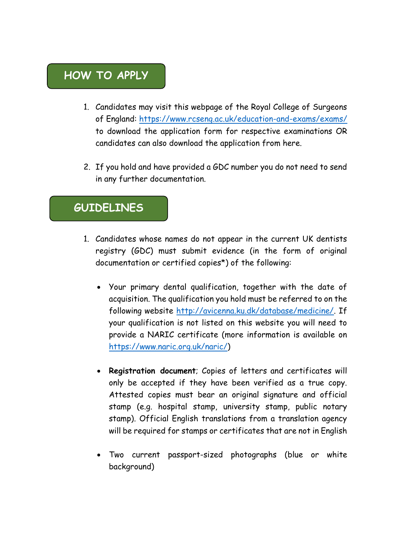#### **HOW TO APPLY**

- 1. Candidates may visit this webpage of the Royal College of Surgeons of England:<https://www.rcseng.ac.uk/education-and-exams/exams/> to download the application form for respective examinations OR candidates can also download the application from here.
- 2. If you hold and have provided a GDC number you do not need to send in any further documentation.

#### **GUIDELINES**

- 1. Candidates whose names do not appear in the current UK dentists registry (GDC) must submit evidence (in the form of original documentation or certified copies\*) of the following:
	- Your primary dental qualification, together with the date of acquisition. The qualification you hold must be referred to on the following website [http://avicenna.ku.dk/database/medicine/.](http://avicenna.ku.dk/database/medicine/) If your qualification is not listed on this website you will need to provide a NARIC certificate (more information is available on [https://www.naric.org.uk/naric/\)](https://www.naric.org.uk/naric/)
	- **Registration document**; Copies of letters and certificates will only be accepted if they have been verified as a true copy. Attested copies must bear an original signature and official stamp (e.g. hospital stamp, university stamp, public notary stamp). Official English translations from a translation agency will be required for stamps or certificates that are not in English
	- Two current passport-sized photographs (blue or white background)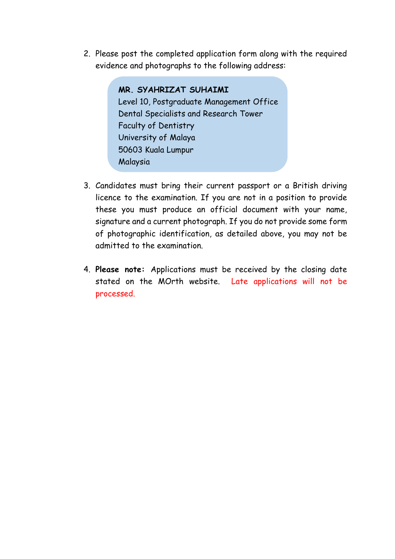2. Please post the completed application form along with the required evidence and photographs to the following address:

> **MR. SYAHRIZAT SUHAIMI** Level 10, Postgraduate Management Office Dental Specialists and Research Tower Faculty of Dentistry University of Malaya 50603 Kuala Lumpur Malaysia

- 3. Candidates must bring their current passport or a British driving licence to the examination. If you are not in a position to provide these you must produce an official document with your name, signature and a current photograph. If you do not provide some form of photographic identification, as detailed above, you may not be admitted to the examination.
- 4. **Please note:** Applications must be received by the closing date stated on the MOrth website. Late applications will not be processed.